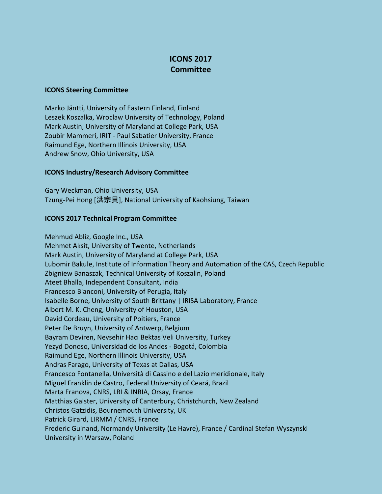## **ICONS 2017 Committee**

## **ICONS Steering Committee**

Marko Jäntti, University of Eastern Finland, Finland Leszek Koszalka, Wroclaw University of Technology, Poland Mark Austin, University of Maryland at College Park, USA Zoubir Mammeri, IRIT - Paul Sabatier University, France Raimund Ege, Northern Illinois University, USA Andrew Snow, Ohio University, USA

## **ICONS Industry/Research Advisory Committee**

Gary Weckman, Ohio University, USA Tzung-Pei Hong [洪宗貝], National University of Kaohsiung, Taiwan

## **ICONS 2017 Technical Program Committee**

Mehmud Abliz, Google Inc., USA Mehmet Aksit, University of Twente, Netherlands Mark Austin, University of Maryland at College Park, USA Lubomir Bakule, Institute of Information Theory and Automation of the CAS, Czech Republic Zbigniew Banaszak, Technical University of Koszalin, Poland Ateet Bhalla, Independent Consultant, India Francesco Bianconi, University of Perugia, Italy Isabelle Borne, University of South Brittany | IRISA Laboratory, France Albert M. K. Cheng, University of Houston, USA David Cordeau, University of Poitiers, France Peter De Bruyn, University of Antwerp, Belgium Bayram Deviren, Nevsehir Hacı Bektas Veli University, Turkey Yezyd Donoso, Universidad de los Andes - Bogotá, Colombia Raimund Ege, Northern Illinois University, USA Andras Farago, University of Texas at Dallas, USA Francesco Fontanella, Università di Cassino e del Lazio meridionale, Italy Miguel Franklin de Castro, Federal University of Ceará, Brazil Marta Franova, CNRS, LRI & INRIA, Orsay, France Matthias Galster, University of Canterbury, Christchurch, New Zealand Christos Gatzidis, Bournemouth University, UK Patrick Girard, LIRMM / CNRS, France Frederic Guinand, Normandy University (Le Havre), France / Cardinal Stefan Wyszynski University in Warsaw, Poland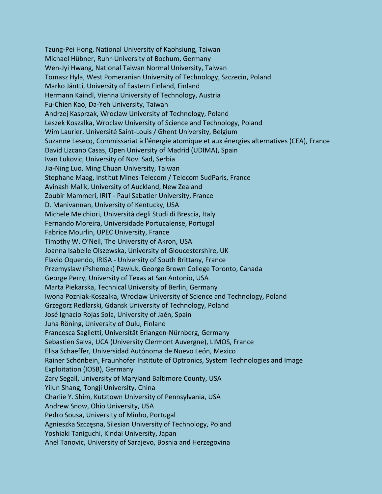Tzung-Pei Hong, National University of Kaohsiung, Taiwan Michael Hübner, Ruhr-University of Bochum, Germany Wen-Jyi Hwang, National Taiwan Normal University, Taiwan Tomasz Hyla, West Pomeranian University of Technology, Szczecin, Poland Marko Jäntti, University of Eastern Finland, Finland Hermann Kaindl, Vienna University of Technology, Austria Fu-Chien Kao, Da-Yeh University, Taiwan Andrzej Kasprzak, Wroclaw University of Technology, Poland Leszek Koszalka, Wroclaw University of Science and Technology, Poland Wim Laurier, Université Saint-Louis / Ghent University, Belgium Suzanne Lesecq, Commissariat à l'énergie atomique et aux énergies alternatives (CEA), France David Lizcano Casas, Open University of Madrid (UDIMA), Spain Ivan Lukovic, University of Novi Sad, Serbia Jia-Ning Luo, Ming Chuan University, Taiwan Stephane Maag, Institut Mines-Telecom / Telecom SudParis, France Avinash Malik, University of Auckland, New Zealand Zoubir Mammeri, IRIT - Paul Sabatier University, France D. Manivannan, University of Kentucky, USA Michele Melchiori, Università degli Studi di Brescia, Italy Fernando Moreira, Universidade Portucalense, Portugal Fabrice Mourlin, UPEC University, France Timothy W. O'Neil, The University of Akron, USA Joanna Isabelle Olszewska, University of Gloucestershire, UK Flavio Oquendo, IRISA - University of South Brittany, France Przemyslaw (Pshemek) Pawluk, George Brown College Toronto, Canada George Perry, University of Texas at San Antonio, USA Marta Piekarska, Technical University of Berlin, Germany Iwona Pozniak-Koszalka, Wroclaw University of Science and Technology, Poland Grzegorz Redlarski, Gdansk University of Technology, Poland José Ignacio Rojas Sola, University of Jaén, Spain Juha Röning, University of Oulu, Finland Francesca Saglietti, Universität Erlangen-Nürnberg, Germany Sebastien Salva, UCA (University Clermont Auvergne), LIMOS, France Elisa Schaeffer, Universidad Autónoma de Nuevo León, Mexico Rainer Schönbein, Fraunhofer Institute of Optronics, System Technologies and Image Exploitation (IOSB), Germany Zary Segall, University of Maryland Baltimore County, USA Yilun Shang, Tongji University, China Charlie Y. Shim, Kutztown University of Pennsylvania, USA Andrew Snow, Ohio University, USA Pedro Sousa, University of Minho, Portugal Agnieszka Szczęsna, Silesian University of Technology, Poland Yoshiaki Taniguchi, Kindai University, Japan Anel Tanovic, University of Sarajevo, Bosnia and Herzegovina